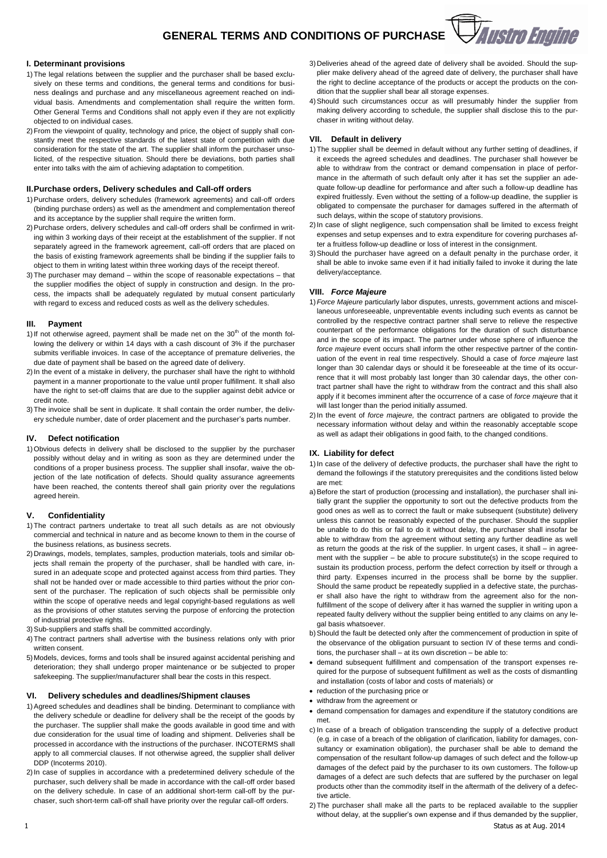# **VAustro Engine GENERAL TERMS AND CONDITIONS OF PURCHASE**

#### **I. Determinant provisions**

- 1)The legal relations between the supplier and the purchaser shall be based exclusively on these terms and conditions, the general terms and conditions for business dealings and purchase and any miscellaneous agreement reached on individual basis. Amendments and complementation shall require the written form. Other General Terms and Conditions shall not apply even if they are not explicitly objected to on individual cases.
- 2)From the viewpoint of quality, technology and price, the object of supply shall constantly meet the respective standards of the latest state of competition with due consideration for the state of the art. The supplier shall inform the purchaser unsolicited, of the respective situation. Should there be deviations, both parties shall enter into talks with the aim of achieving adaptation to competition.

#### **II.Purchase orders, Delivery schedules and Call-off orders**

- 1)Purchase orders, delivery schedules (framework agreements) and call-off orders (binding purchase orders) as well as the amendment and complementation thereof and its acceptance by the supplier shall require the written form.
- 2)Purchase orders, delivery schedules and call-off orders shall be confirmed in writing within 3 working days of their receipt at the establishment of the supplier. If not separately agreed in the framework agreement, call-off orders that are placed on the basis of existing framework agreements shall be binding if the supplier fails to object to them in writing latest within three working days of the receipt thereof.
- 3)The purchaser may demand within the scope of reasonable expectations that the supplier modifies the object of supply in construction and design. In the process, the impacts shall be adequately regulated by mutual consent particularly with regard to excess and reduced costs as well as the delivery schedules.

# **III. Payment**

- 1) If not otherwise agreed, payment shall be made net on the  $30<sup>th</sup>$  of the month following the delivery or within 14 days with a cash discount of 3% if the purchaser submits verifiable invoices. In case of the acceptance of premature deliveries, the due date of payment shall be based on the agreed date of delivery.
- 2) In the event of a mistake in delivery, the purchaser shall have the right to withhold payment in a manner proportionate to the value until proper fulfillment. It shall also have the right to set-off claims that are due to the supplier against debit advice or credit note.
- 3)The invoice shall be sent in duplicate. It shall contain the order number, the delivery schedule number, date of order placement and the purchaser's parts number.

#### **IV. Defect notification**

1)Obvious defects in delivery shall be disclosed to the supplier by the purchaser possibly without delay and in writing as soon as they are determined under the conditions of a proper business process. The supplier shall insofar, waive the objection of the late notification of defects. Should quality assurance agreements have been reached, the contents thereof shall gain priority over the regulations agreed herein.

# **V. Confidentiality**

- 1)The contract partners undertake to treat all such details as are not obviously commercial and technical in nature and as become known to them in the course of the business relations, as business secrets.
- 2) Drawings, models, templates, samples, production materials, tools and similar objects shall remain the property of the purchaser, shall be handled with care, insured in an adequate scope and protected against access from third parties. They shall not be handed over or made accessible to third parties without the prior consent of the purchaser. The replication of such objects shall be permissible only within the scope of operative needs and legal copyright-based regulations as well as the provisions of other statutes serving the purpose of enforcing the protection of industrial protective rights.
- 3)Sub-suppliers and staffs shall be committed accordingly.
- 4)The contract partners shall advertise with the business relations only with prior written consent.
- 5) Models, devices, forms and tools shall be insured against accidental perishing and deterioration; they shall undergo proper maintenance or be subjected to proper safekeeping. The supplier/manufacturer shall bear the costs in this respect.

# **VI. Delivery schedules and deadlines/Shipment clauses**

- 1)Agreed schedules and deadlines shall be binding. Determinant to compliance with the delivery schedule or deadline for delivery shall be the receipt of the goods by the purchaser. The supplier shall make the goods available in good time and with due consideration for the usual time of loading and shipment. Deliveries shall be processed in accordance with the instructions of the purchaser. INCOTERMS shall apply to all commercial clauses. If not otherwise agreed, the supplier shall deliver DDP (Incoterms 2010).
- 2) In case of supplies in accordance with a predetermined delivery schedule of the purchaser, such delivery shall be made in accordance with the call-off order based on the delivery schedule. In case of an additional short-term call-off by the purchaser, such short-term call-off shall have priority over the regular call-off orders.
- 3) Deliveries ahead of the agreed date of delivery shall be avoided. Should the supplier make delivery ahead of the agreed date of delivery, the purchaser shall have the right to decline acceptance of the products or accept the products on the condition that the supplier shall bear all storage expenses.
- 4)Should such circumstances occur as will presumably hinder the supplier from making delivery according to schedule, the supplier shall disclose this to the purchaser in writing without delay.

#### **VII. Default in delivery**

- 1)The supplier shall be deemed in default without any further setting of deadlines, if it exceeds the agreed schedules and deadlines. The purchaser shall however be able to withdraw from the contract or demand compensation in place of performance in the aftermath of such default only after it has set the supplier an adequate follow-up deadline for performance and after such a follow-up deadline has expired fruitlessly. Even without the setting of a follow-up deadline, the supplier is obligated to compensate the purchaser for damages suffered in the aftermath of such delays, within the scope of statutory provisions.
- 2)In case of slight negligence, such compensation shall be limited to excess freight expenses and setup expenses and to extra expenditure for covering purchases after a fruitless follow-up deadline or loss of interest in the consignment.
- 3)Should the purchaser have agreed on a default penalty in the purchase order, it shall be able to invoke same even if it had initially failed to invoke it during the late delivery/acceptance.

#### **VIII.** *Force Majeure*

- 1)*Force Majeure* particularly labor disputes, unrests, government actions and miscellaneous unforeseeable, unpreventable events including such events as cannot be controlled by the respective contract partner shall serve to relieve the respective counterpart of the performance obligations for the duration of such disturbance and in the scope of its impact. The partner under whose sphere of influence the *force majeure* event occurs shall inform the other respective partner of the continuation of the event in real time respectively. Should a case of *force majeure* last longer than 30 calendar days or should it be foreseeable at the time of its occurrence that it will most probably last longer than 30 calendar days, the other contract partner shall have the right to withdraw from the contract and this shall also apply if it becomes imminent after the occurrence of a case of *force majeure* that it will last longer than the period initially assumed.
- 2)In the event of *force majeure,* the contract partners are obligated to provide the necessary information without delay and within the reasonably acceptable scope as well as adapt their obligations in good faith, to the changed conditions.

#### **IX. Liability for defect**

- 1)In case of the delivery of defective products, the purchaser shall have the right to demand the followings if the statutory prerequisites and the conditions listed below are met:
- a) Before the start of production (processing and installation), the purchaser shall initially grant the supplier the opportunity to sort out the defective products from the good ones as well as to correct the fault or make subsequent (substitute) delivery unless this cannot be reasonably expected of the purchaser. Should the supplier be unable to do this or fail to do it without delay, the purchaser shall insofar be able to withdraw from the agreement without setting any further deadline as well as return the goods at the risk of the supplier. In urgent cases, it shall – in agreement with the supplier – be able to procure substitute(s) in the scope required to sustain its production process, perform the defect correction by itself or through a third party. Expenses incurred in the process shall be borne by the supplier. Should the same product be repeatedly supplied in a defective state, the purchaser shall also have the right to withdraw from the agreement also for the nonfulfillment of the scope of delivery after it has warned the supplier in writing upon a repeated faulty delivery without the supplier being entitled to any claims on any legal basis whatsoever.
- b)Should the fault be detected only after the commencement of production in spite of the observance of the obligation pursuant to section IV of these terms and conditions, the purchaser shall – at its own discretion – be able to:
- demand subsequent fulfillment and compensation of the transport expenses required for the purpose of subsequent fulfillment as well as the costs of dismantling and installation (costs of labor and costs of materials) or
- reduction of the purchasing price or
- withdraw from the agreement or
- demand compensation for damages and expenditure if the statutory conditions are met.
- c) In case of a breach of obligation transcending the supply of a defective product (e.g. in case of a breach of the obligation of clarification, liability for damages, consultancy or examination obligation), the purchaser shall be able to demand the compensation of the resultant follow-up damages of such defect and the follow-up damages of the defect paid by the purchaser to its own customers. The follow-up damages of a defect are such defects that are suffered by the purchaser on legal products other than the commodity itself in the aftermath of the delivery of a defective article.
- 1 Status as at Aug. 2014 2)The purchaser shall make all the parts to be replaced available to the supplier without delay, at the supplier's own expense and if thus demanded by the supplier,